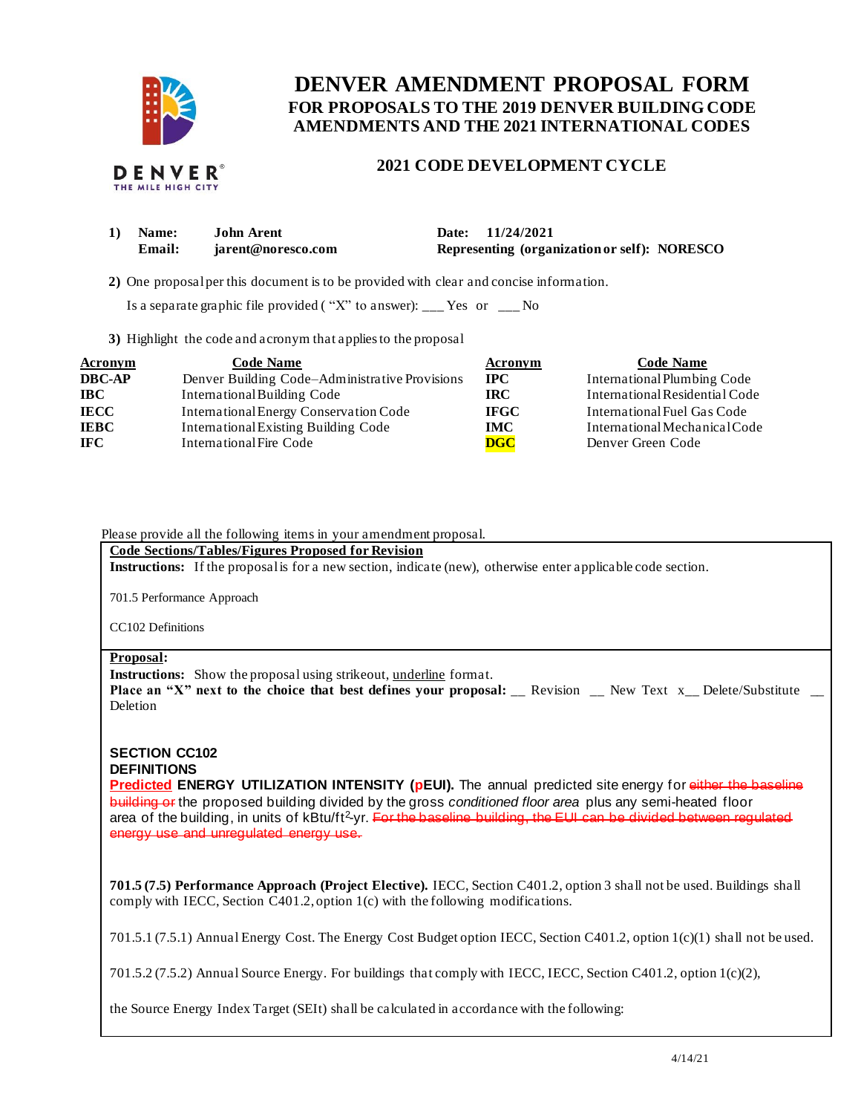

# **FOR PROPOSALS TO THE 2019 DENVER BUILDING CODE DENVER AMENDMENT PROPOSAL FORM AMENDMENTS AND THE 2021 INTERNATIONAL CODES**

# **2021 CODE DEVELOPMENT CYCLE**

| 1) Name: | <b>John Arent</b>  | Date: 11/24/2021                             |
|----------|--------------------|----------------------------------------------|
| Email:   | iarent@noresco.com | Representing (organization or self): NORESCO |

**2)** One proposalper this document is to be provided with clear and concise information.

Is a separate graphic file provided ("X" to answer): \_\_\_ Yes or \_\_\_ No

**3)** Highlight the code and acronym that applies to the proposal

| <b>Acronym</b> | <b>Code Name</b>                               | Acronym     | <b>Code Name</b>               |
|----------------|------------------------------------------------|-------------|--------------------------------|
| <b>DBC-AP</b>  | Denver Building Code–Administrative Provisions | $\bf IPC$   | International Plumbing Code    |
| <b>IBC</b>     | International Building Code                    | IRC.        | International Residential Code |
| <b>IECC</b>    | International Energy Conservation Code         | <b>IFGC</b> | International Fuel Gas Code    |
| <b>IEBC</b>    | International Existing Building Code           | <b>IMC</b>  | International Mechanical Code  |
| <b>IFC</b>     | International Fire Code                        | <b>DGC</b>  | Denver Green Code              |

Please provide all the following items in your amendment proposal.

 **Code Sections/Tables/Figures Proposed for Revision** 

**Instructions:** If the proposal is for a new section, indicate (new), otherwise enter applicable code section.

701.5 Performance Approach

CC102 Definitions

#### **Proposal:**

Instructions: Show the proposal using strikeout, underline format.

**Place an "X" next to the choice that best defines your proposal: \_\_ Revision \_\_ New Text x\_\_ Delete/Substitute \_\_** Deletion

# **SECTION CC102 DEFINITIONS**

 **Predicted ENERGY UTILIZATION INTENSITY (pEUI).** The annual predicted site energy for either the baseline building or the proposed building divided by the gross *conditioned floor area* plus any semi-heated floor area of the building, in units of kBtu/ft<sup>2</sup>-yr. <del>For the baseline-building, the EUI can be divided between regulated</del> energy use and unregulated energy use.

 **701.5 (7.5) Performance Approach (Project Elective).** IECC, Section C401.2, option 3 shall not be used. Buildings shall comply with IECC, Section C401.2, option 1(c) with the following modifications.

701.5.1 (7.5.1) Annual Energy Cost. The Energy Cost Budget option IECC, Section C401.2, option 1(c)(1) shall not be used.

701.5.2 (7.5.2) Annual Source Energy. For buildings that comply with IECC, IECC, Section C401.2, option 1(c)(2),

the Source Energy Index Target (SEIt) shall be calculated in accordance with the following: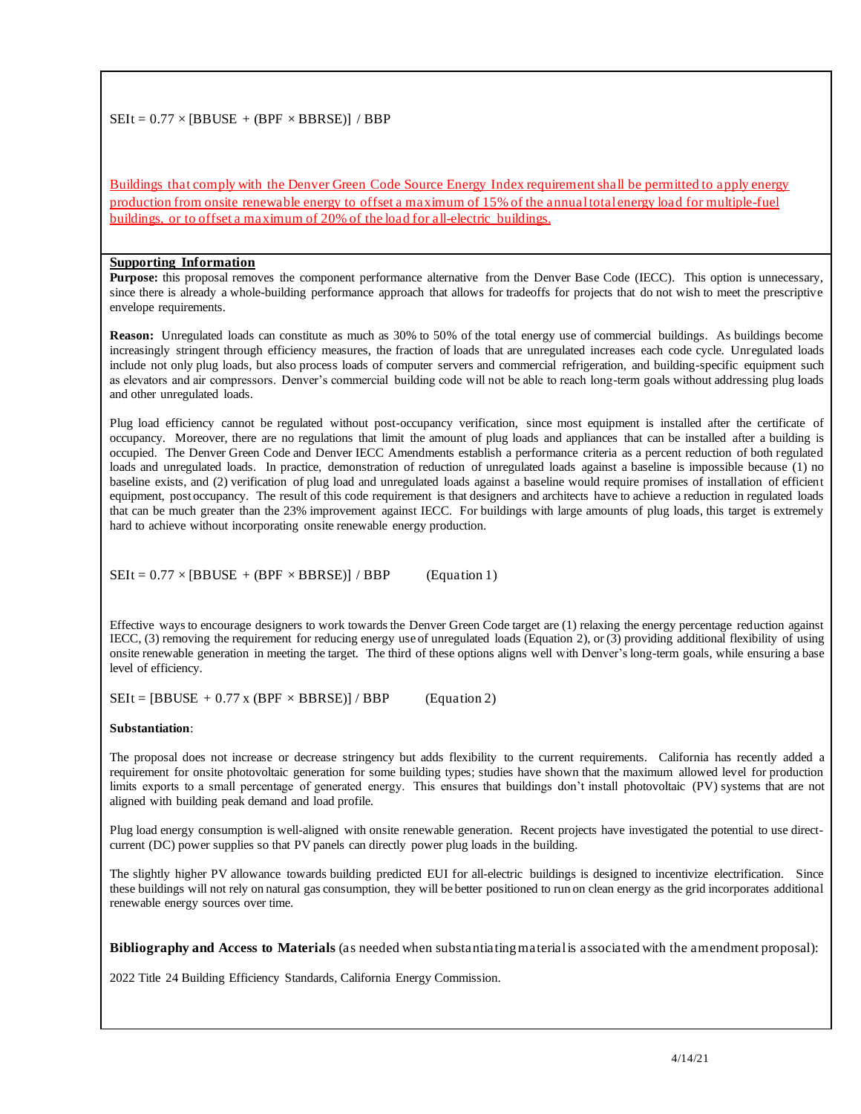# $SEIt = 0.77 \times [BBUSE + (BPF \times BBRSE)] / BBP$

Buildings that comply with the Denver Green Code Source Energy Index requirement shall be permitted to apply energy production from onsite renewable energy to offset a maximum of 15% of the annual total energy load for multiple-fuel buildings, or to offset a maximum of 20% of the load for all-electric buildings.

#### **Supporting Information**

 **Purpose:** this proposal removes the component performance alternative from the Denver Base Code (IECC). This option is unnecessary, since there is already a whole-building performance approach that allows for tradeoffs for projects that do not wish to meet the prescriptive envelope requirements.

 **Reason:** Unregulated loads can constitute as much as 30% to 50% of the total energy use of commercial buildings. As buildings become increasingly stringent through efficiency measures, the fraction of loads that are unregulated increases each code cycle. Unregulated loads include not only plug loads, but also process loads of computer servers and commercial refrigeration, and building-specific equipment such as elevators and air compressors. Denver's commercial building code will not be able to reach long-term goals without addressing plug loads and other unregulated loads.

Plug load efficiency cannot be regulated without post-occupancy verification, since most equipment is installed after the certificate of occupancy. Moreover, there are no regulations that limit the amount of plug loads and appliances that can be installed after a building is occupied. The Denver Green Code and Denver IECC Amendments establish a performance criteria as a percent reduction of both regulated loads and unregulated loads. In practice, demonstration of reduction of unregulated loads against a baseline is impossible because (1) no baseline exists, and (2) verification of plug load and unregulated loads against a baseline would require promises of installation of efficient equipment, post occupancy. The result of this code requirement is that designers and architects have to achieve a reduction in regulated loads that can be much greater than the 23% improvement against IECC. For buildings with large amounts of plug loads, this target is extremely hard to achieve without incorporating onsite renewable energy production.

 $SEIt = 0.77 \times [BBUSE + (BPF \times BBRSE)] / BBP$  (Equation 1)

 Effective ways to encourage designers to work towards the Denver Green Code target are (1) relaxing the energy percentage reduction against IECC, (3) removing the requirement for reducing energy use of unregulated loads (Equation 2), or (3) providing additional flexibility of using onsite renewable generation in meeting the target. The third of these options aligns well with Denver'slong-term goals, while ensuring a base level of efficiency.

 $SEIt = [BBUSE + 0.77 \times (BPF \times BBRSE)] / BBP$  (Equation 2)

#### Substantiation:

**Substantiation**:<br>The proposal does not increase or decrease stringency but adds flexibility to the current requirements. California has recently added a requirement for onsite photovoltaic generation for some building types; studies have shown that the maximum allowed level for production limits exports to a small percentage of generated energy. This ensures that buildings don't install photovoltaic (PV) systems that are not aligned with building peak demand and load profile.

 Plug load energy consumption is well-aligned with onsite renewable generation. Recent projects have investigated the potential to use direct-current (DC) power supplies so that PV panels can directly power plug loads in the building.

 The slightly higher PV allowance towards building predicted EUI for all-electric buildings is designed to incentivize electrification. Since these buildings will not rely on natural gas consumption, they will be better positioned to run on clean energy as the grid incorporates additional renewable energy sources over time.

 **Bibliography and Access to Materials** (as needed when substantiating material is associated with the amendment proposal):

2022 Title 24 Building Efficiency Standards, California Energy Commission.